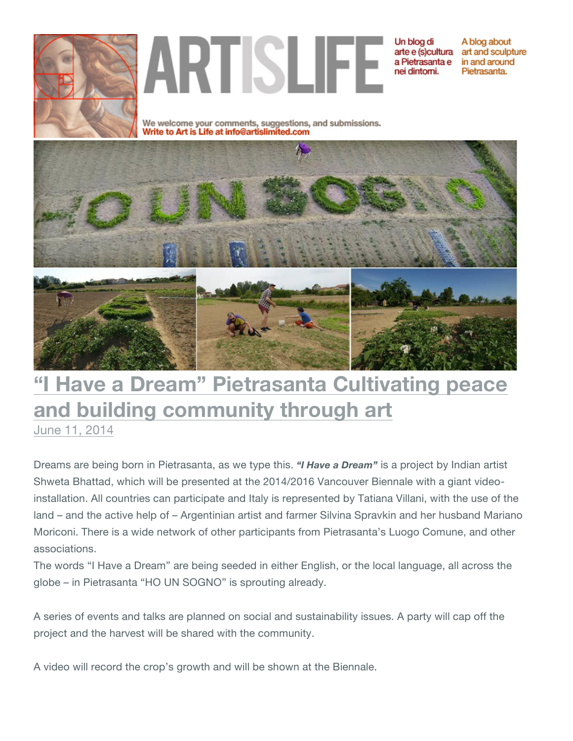

ARTISLIFE

Un blog di arte e (s)cultura art and sculpture a Pietrasanta e nei dintomi.

A blog about in and around Pietrasanta.

We welcome your comments, suggestions, and submissions.<br>Write to Art is Life at info@artislimited.com



## **"I Have a Dream" Pietrasanta Cultivating peace and building community through art**

June 11, 2014

Dreams are being born in Pietrasanta, as we type this. *"I Have a Dream"* is a project by Indian artist Shweta Bhattad, which will be presented at the 2014/2016 Vancouver Biennale with a giant videoinstallation. All countries can participate and Italy is represented by Tatiana Villani, with the use of the land – and the active help of – Argentinian artist and farmer Silvina Spravkin and her husband Mariano Moriconi. There is a wide network of other participants from Pietrasanta's Luogo Comune, and other associations.

The words "I Have a Dream" are being seeded in either English, or the local language, all across the globe – in Pietrasanta "HO UN SOGNO" is sprouting already.

A series of events and talks are planned on social and sustainability issues. A party will cap off the project and the harvest will be shared with the community.

A video will record the crop's growth and will be shown at the Biennale.